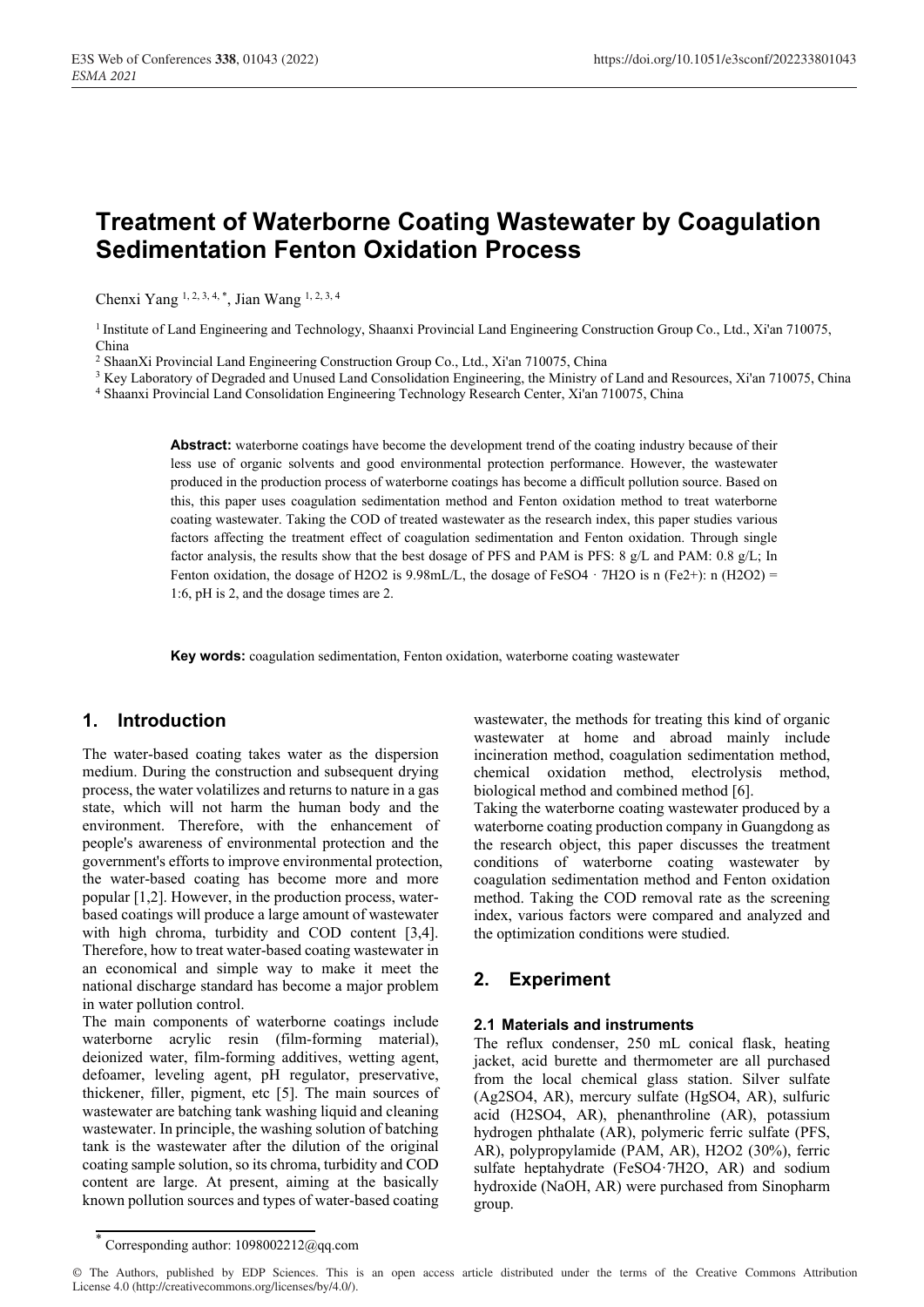# **Treatment of Waterborne Coating Wastewater by Coagulation Sedimentation Fenton Oxidation Process**

Chenxi Yang 1, 2, 3, 4, \*, Jian Wang 1, 2, 3, 4

<sup>1</sup> Institute of Land Engineering and Technology, Shaanxi Provincial Land Engineering Construction Group Co., Ltd., Xi'an 710075, China

<sup>2</sup> ShaanXi Provincial Land Engineering Construction Group Co., Ltd., Xi'an 710075, China

<sup>3</sup> Key Laboratory of Degraded and Unused Land Consolidation Engineering, the Ministry of Land and Resources, Xi'an 710075, China

4 Shaanxi Provincial Land Consolidation Engineering Technology Research Center, Xi'an 710075, China

**Abstract:** waterborne coatings have become the development trend of the coating industry because of their less use of organic solvents and good environmental protection performance. However, the wastewater produced in the production process of waterborne coatings has become a difficult pollution source. Based on this, this paper uses coagulation sedimentation method and Fenton oxidation method to treat waterborne coating wastewater. Taking the COD of treated wastewater as the research index, this paper studies various factors affecting the treatment effect of coagulation sedimentation and Fenton oxidation. Through single factor analysis, the results show that the best dosage of PFS and PAM is PFS: 8 g/L and PAM: 0.8 g/L; In Fenton oxidation, the dosage of H2O2 is 9.98mL/L, the dosage of FeSO4  $\cdot$  7H2O is n (Fe2+): n (H2O2) = 1:6, pH is 2, and the dosage times are 2.

**Key words:** coagulation sedimentation, Fenton oxidation, waterborne coating wastewater

# **1. Introduction**

The water-based coating takes water as the dispersion medium. During the construction and subsequent drying process, the water volatilizes and returns to nature in a gas state, which will not harm the human body and the environment. Therefore, with the enhancement of people's awareness of environmental protection and the government's efforts to improve environmental protection, the water-based coating has become more and more popular [1,2]. However, in the production process, waterbased coatings will produce a large amount of wastewater with high chroma, turbidity and COD content [3,4]. Therefore, how to treat water-based coating wastewater in an economical and simple way to make it meet the national discharge standard has become a major problem in water pollution control.

The main components of waterborne coatings include waterborne acrylic resin (film-forming material), deionized water, film-forming additives, wetting agent, defoamer, leveling agent, pH regulator, preservative, thickener, filler, pigment, etc [5]. The main sources of wastewater are batching tank washing liquid and cleaning wastewater. In principle, the washing solution of batching tank is the wastewater after the dilution of the original coating sample solution, so its chroma, turbidity and COD content are large. At present, aiming at the basically known pollution sources and types of water-based coating wastewater, the methods for treating this kind of organic wastewater at home and abroad mainly include incineration method, coagulation sedimentation method, chemical oxidation method, electrolysis method, biological method and combined method [6].

Taking the waterborne coating wastewater produced by a waterborne coating production company in Guangdong as the research object, this paper discusses the treatment conditions of waterborne coating wastewater by coagulation sedimentation method and Fenton oxidation method. Taking the COD removal rate as the screening index, various factors were compared and analyzed and the optimization conditions were studied.

# **2. Experiment**

#### **2.1 Materials and instruments**

The reflux condenser, 250 mL conical flask, heating jacket, acid burette and thermometer are all purchased from the local chemical glass station. Silver sulfate (Ag2SO4, AR), mercury sulfate (HgSO4, AR), sulfuric acid (H2SO4, AR), phenanthroline (AR), potassium hydrogen phthalate (AR), polymeric ferric sulfate (PFS, AR), polypropylamide (PAM, AR), H2O2 (30%), ferric sulfate heptahydrate (FeSO4·7H2O, AR) and sodium hydroxide (NaOH, AR) were purchased from Sinopharm group.

<sup>\*</sup> Corresponding author: 1098002212@qq.com

<sup>©</sup> The Authors, published by EDP Sciences. This is an open access article distributed under the terms of the Creative Commons Attribution License 4.0 (http://creativecommons.org/licenses/by/4.0/).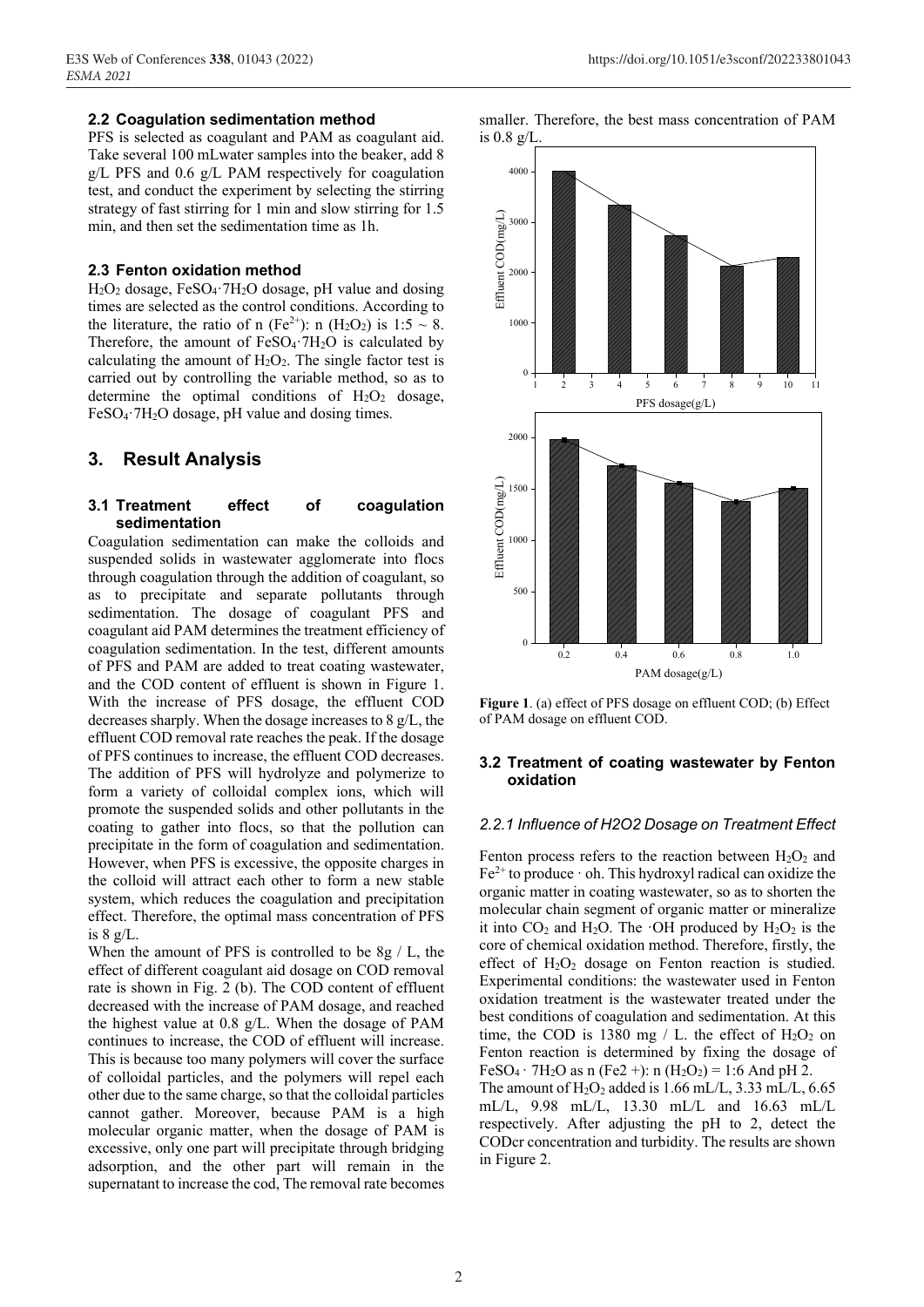#### **2.2 Coagulation sedimentation method**

PFS is selected as coagulant and PAM as coagulant aid. Take several 100 mLwater samples into the beaker, add 8 g/L PFS and 0.6 g/L PAM respectively for coagulation test, and conduct the experiment by selecting the stirring strategy of fast stirring for 1 min and slow stirring for 1.5 min, and then set the sedimentation time as 1h.

#### **2.3 Fenton oxidation method**

 $H_2O_2$  dosage, FeSO<sub>4</sub> $·7H_2O$  dosage, pH value and dosing times are selected as the control conditions. According to the literature, the ratio of n (Fe<sup>2+</sup>): n (H<sub>2</sub>O<sub>2</sub>) is 1:5 ~ 8. Therefore, the amount of  $FeSO_4$ <sup>-7H<sub>2</sub>O is calculated by</sup> calculating the amount of  $H_2O_2$ . The single factor test is carried out by controlling the variable method, so as to determine the optimal conditions of  $H_2O_2$  dosage, FeSO<sub>4</sub> $·7H<sub>2</sub>O$  dosage, pH value and dosing times.

# **3. Result Analysis**

#### **3.1 Treatment effect of coagulation sedimentation**

Coagulation sedimentation can make the colloids and suspended solids in wastewater agglomerate into flocs through coagulation through the addition of coagulant, so as to precipitate and separate pollutants through sedimentation. The dosage of coagulant PFS and coagulant aid PAM determines the treatment efficiency of coagulation sedimentation. In the test, different amounts of PFS and PAM are added to treat coating wastewater, and the COD content of effluent is shown in Figure 1. With the increase of PFS dosage, the effluent COD decreases sharply. When the dosage increases to 8 g/L, the effluent COD removal rate reaches the peak. If the dosage of PFS continues to increase, the effluent COD decreases. The addition of PFS will hydrolyze and polymerize to form a variety of colloidal complex ions, which will promote the suspended solids and other pollutants in the coating to gather into flocs, so that the pollution can precipitate in the form of coagulation and sedimentation. However, when PFS is excessive, the opposite charges in the colloid will attract each other to form a new stable system, which reduces the coagulation and precipitation effect. Therefore, the optimal mass concentration of PFS is  $8 \text{ g/L}$ .

When the amount of PFS is controlled to be 8g / L, the effect of different coagulant aid dosage on COD removal rate is shown in Fig. 2 (b). The COD content of effluent decreased with the increase of PAM dosage, and reached the highest value at 0.8 g/L. When the dosage of PAM continues to increase, the COD of effluent will increase. This is because too many polymers will cover the surface of colloidal particles, and the polymers will repel each other due to the same charge, so that the colloidal particles cannot gather. Moreover, because PAM is a high molecular organic matter, when the dosage of PAM is excessive, only one part will precipitate through bridging adsorption, and the other part will remain in the supernatant to increase the cod, The removal rate becomes





**Figure 1**. (a) effect of PFS dosage on effluent COD; (b) Effect of PAM dosage on effluent COD.

## **3.2 Treatment of coating wastewater by Fenton oxidation**

#### *2.2.1 Influence of H2O2 Dosage on Treatment Effect*

Fenton process refers to the reaction between  $H_2O_2$  and  $Fe<sup>2+</sup>$  to produce  $\cdot$  oh. This hydroxyl radical can oxidize the organic matter in coating wastewater, so as to shorten the molecular chain segment of organic matter or mineralize it into  $CO<sub>2</sub>$  and H<sub>2</sub>O. The  $\cdot$ OH produced by H<sub>2</sub>O<sub>2</sub> is the core of chemical oxidation method. Therefore, firstly, the effect of  $H_2O_2$  dosage on Fenton reaction is studied. Experimental conditions: the wastewater used in Fenton oxidation treatment is the wastewater treated under the best conditions of coagulation and sedimentation. At this time, the COD is 1380 mg  $/$  L. the effect of H<sub>2</sub>O<sub>2</sub> on Fenton reaction is determined by fixing the dosage of FeSO<sub>4</sub>  $·$  7H<sub>2</sub>O as n (Fe2 +): n (H<sub>2</sub>O<sub>2</sub>) = 1:6 And pH 2. The amount of  $H_2O_2$  added is 1.66 mL/L, 3.33 mL/L, 6.65

mL/L, 9.98 mL/L, 13.30 mL/L and 16.63 mL/L respectively. After adjusting the pH to 2, detect the CODcr concentration and turbidity. The results are shown in Figure 2.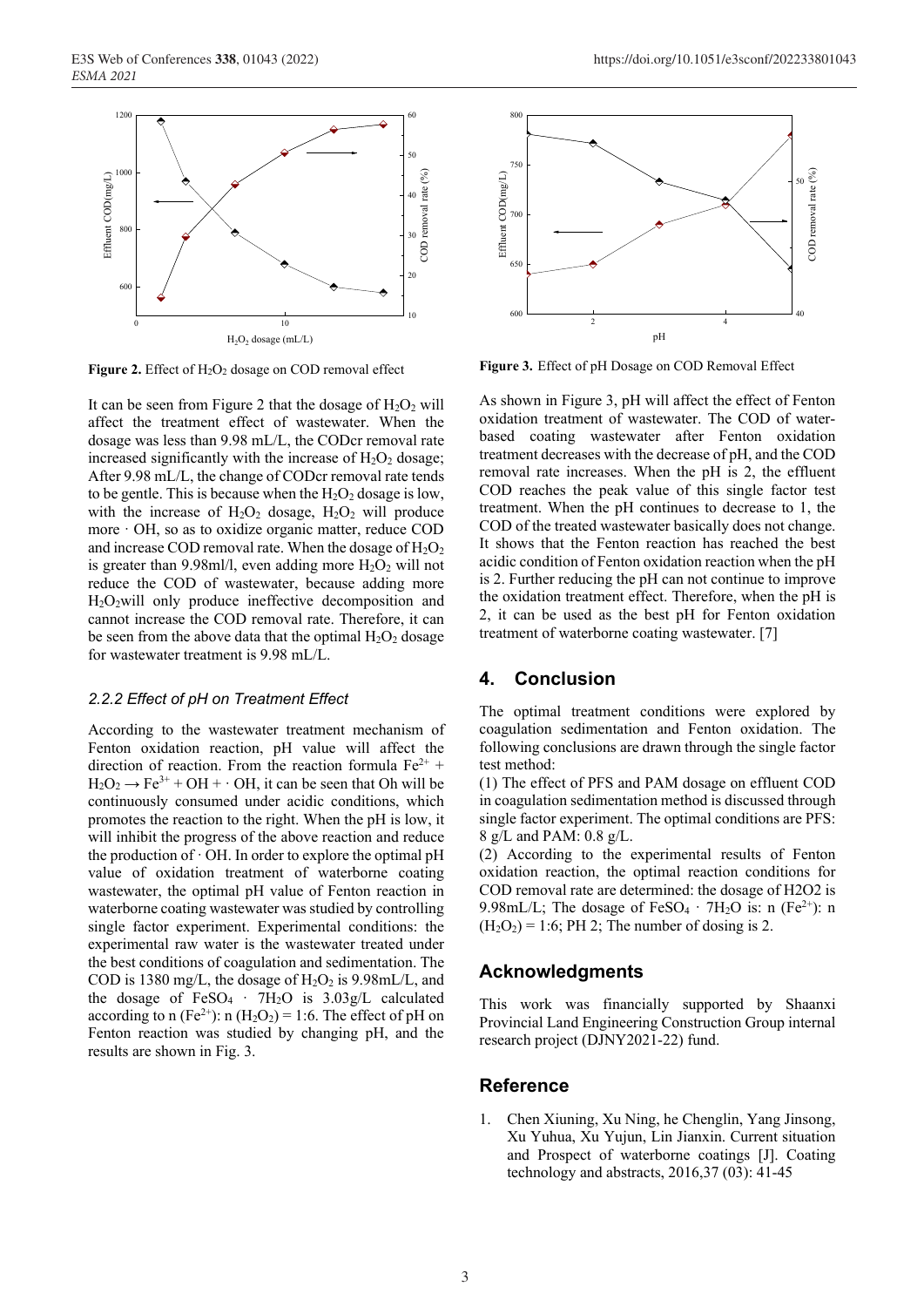

Figure 2. Effect of H<sub>2</sub>O<sub>2</sub> dosage on COD removal effect

It can be seen from Figure 2 that the dosage of  $H_2O_2$  will affect the treatment effect of wastewater. When the dosage was less than 9.98 mL/L, the CODcr removal rate increased significantly with the increase of  $H_2O_2$  dosage; After 9.98 mL/L, the change of CODcr removal rate tends to be gentle. This is because when the  $H_2O_2$  dosage is low, with the increase of  $H_2O_2$  dosage,  $H_2O_2$  will produce more  $\cdot$  OH, so as to oxidize organic matter, reduce COD and increase COD removal rate. When the dosage of  $H_2O_2$ is greater than 9.98ml/l, even adding more  $H_2O_2$  will not reduce the COD of wastewater, because adding more H2O2will only produce ineffective decomposition and cannot increase the COD removal rate. Therefore, it can be seen from the above data that the optimal  $H_2O_2$  dosage for wastewater treatment is 9.98 mL/L.

#### *2.2.2 Effect of pH on Treatment Effect*

According to the wastewater treatment mechanism of Fenton oxidation reaction, pH value will affect the direction of reaction. From the reaction formula  $Fe^{2+}$  +  $H_2O_2 \rightarrow Fe^{3+} + OH + OH$ , it can be seen that Oh will be continuously consumed under acidic conditions, which promotes the reaction to the right. When the pH is low, it will inhibit the progress of the above reaction and reduce the production of  $\cdot$  OH. In order to explore the optimal pH value of oxidation treatment of waterborne coating wastewater, the optimal pH value of Fenton reaction in waterborne coating wastewater was studied by controlling single factor experiment. Experimental conditions: the experimental raw water is the wastewater treated under the best conditions of coagulation and sedimentation. The COD is 1380 mg/L, the dosage of  $H_2O_2$  is 9.98mL/L, and the dosage of  $FeSO<sub>4</sub> \cdot 7H<sub>2</sub>O$  is  $3.03g/L$  calculated according to n (Fe<sup>2+</sup>): n (H<sub>2</sub>O<sub>2</sub>) = 1:6. The effect of pH on Fenton reaction was studied by changing pH, and the results are shown in Fig. 3.



**Figure 3.** Effect of pH Dosage on COD Removal Effect

As shown in Figure 3, pH will affect the effect of Fenton oxidation treatment of wastewater. The COD of waterbased coating wastewater after Fenton oxidation treatment decreases with the decrease of pH, and the COD removal rate increases. When the pH is 2, the effluent COD reaches the peak value of this single factor test treatment. When the pH continues to decrease to 1, the COD of the treated wastewater basically does not change. It shows that the Fenton reaction has reached the best acidic condition of Fenton oxidation reaction when the pH is 2. Further reducing the pH can not continue to improve the oxidation treatment effect. Therefore, when the pH is 2, it can be used as the best pH for Fenton oxidation treatment of waterborne coating wastewater. [7]

## **4. Conclusion**

The optimal treatment conditions were explored by coagulation sedimentation and Fenton oxidation. The following conclusions are drawn through the single factor test method:

(1) The effect of PFS and PAM dosage on effluent COD in coagulation sedimentation method is discussed through single factor experiment. The optimal conditions are PFS: 8 g/L and PAM: 0.8 g/L.

(2) According to the experimental results of Fenton oxidation reaction, the optimal reaction conditions for COD removal rate are determined: the dosage of H2O2 is 9.98mL/L; The dosage of  $FeSO_4 \cdot 7H_2O$  is: n  $(Fe^{2+})$ : n  $(H<sub>2</sub>O<sub>2</sub>) = 1:6$ ; PH 2; The number of dosing is 2.

## **Acknowledgments**

This work was financially supported by Shaanxi Provincial Land Engineering Construction Group internal research project (DJNY2021-22) fund.

## **Reference**

1. Chen Xiuning, Xu Ning, he Chenglin, Yang Jinsong, Xu Yuhua, Xu Yujun, Lin Jianxin. Current situation and Prospect of waterborne coatings [J]. Coating technology and abstracts, 2016,37 (03): 41-45